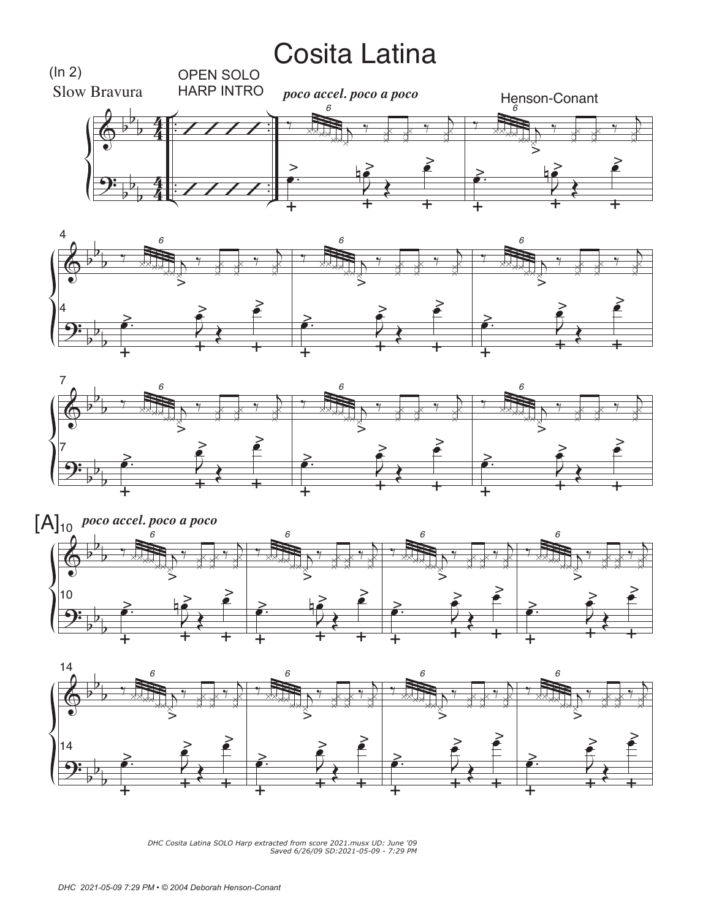## Cosita Latina









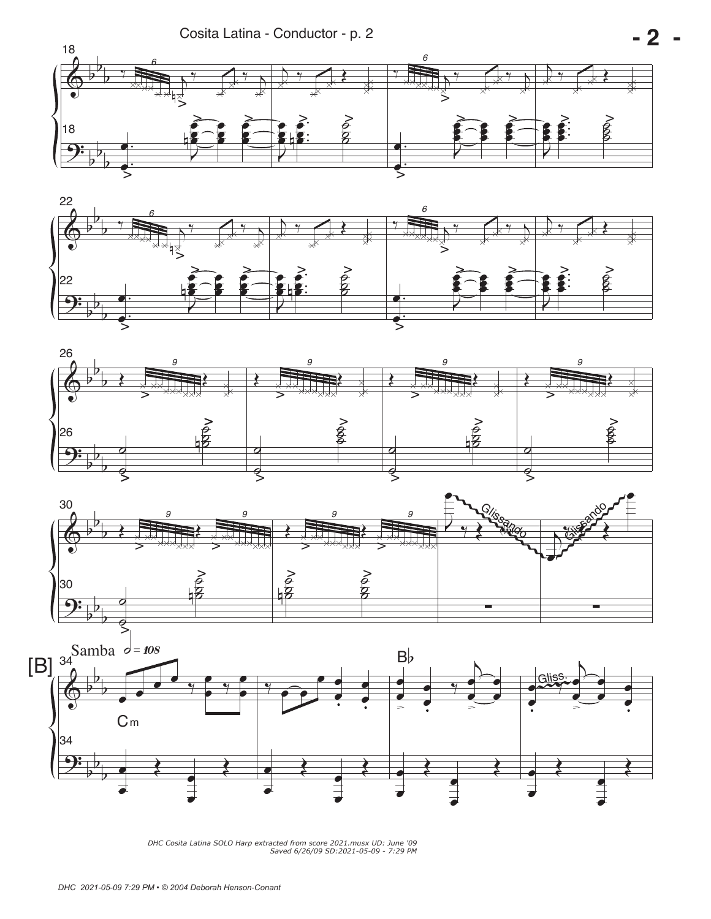Cosita Latina - Conductor - p. 2









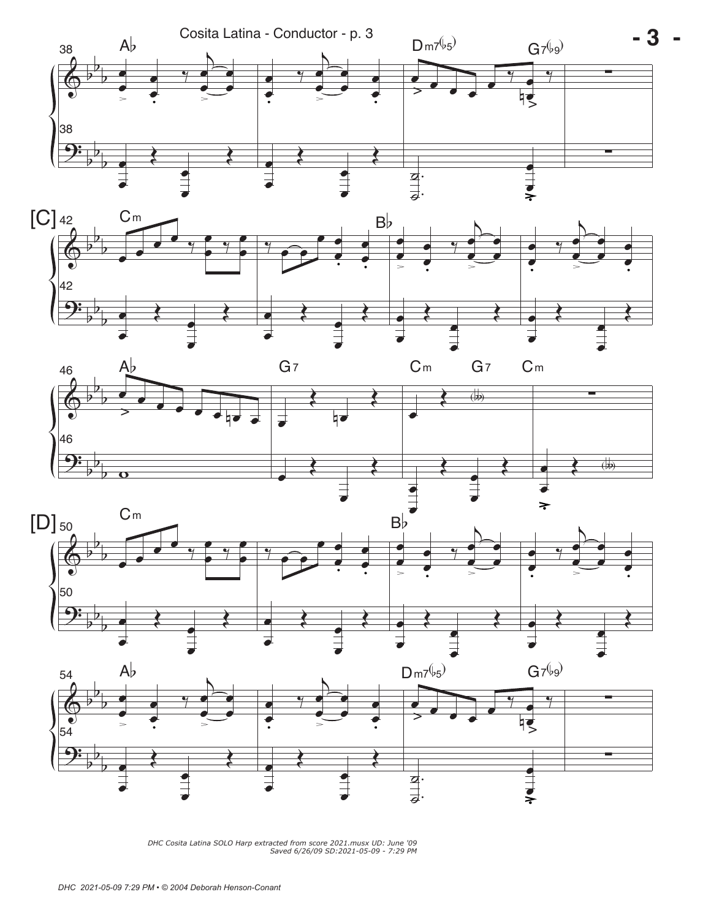







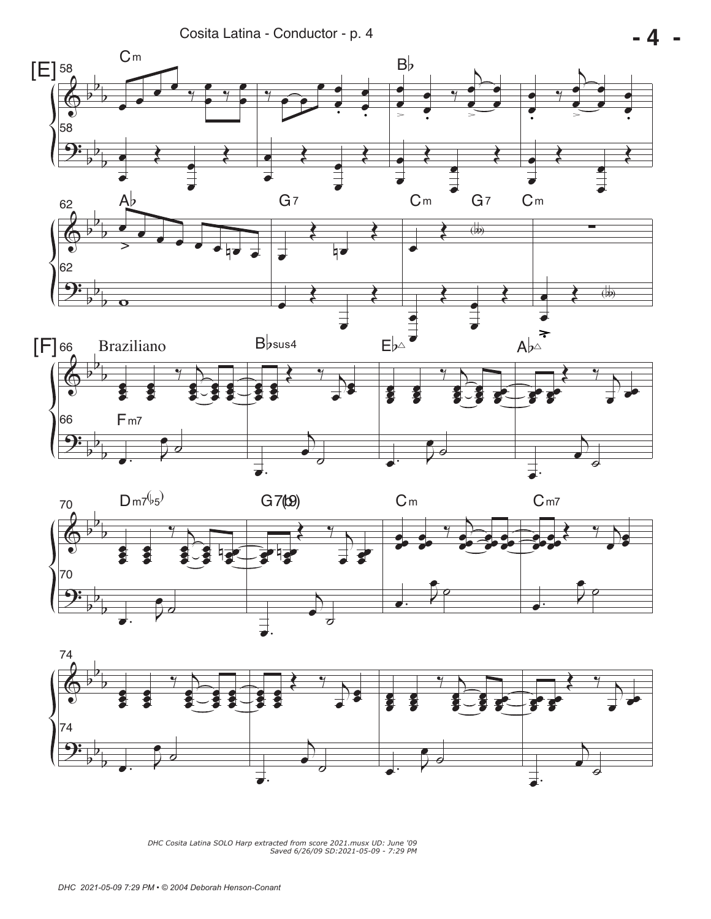Cosita Latina - Conductor - p. 4



 **- 4 -** 



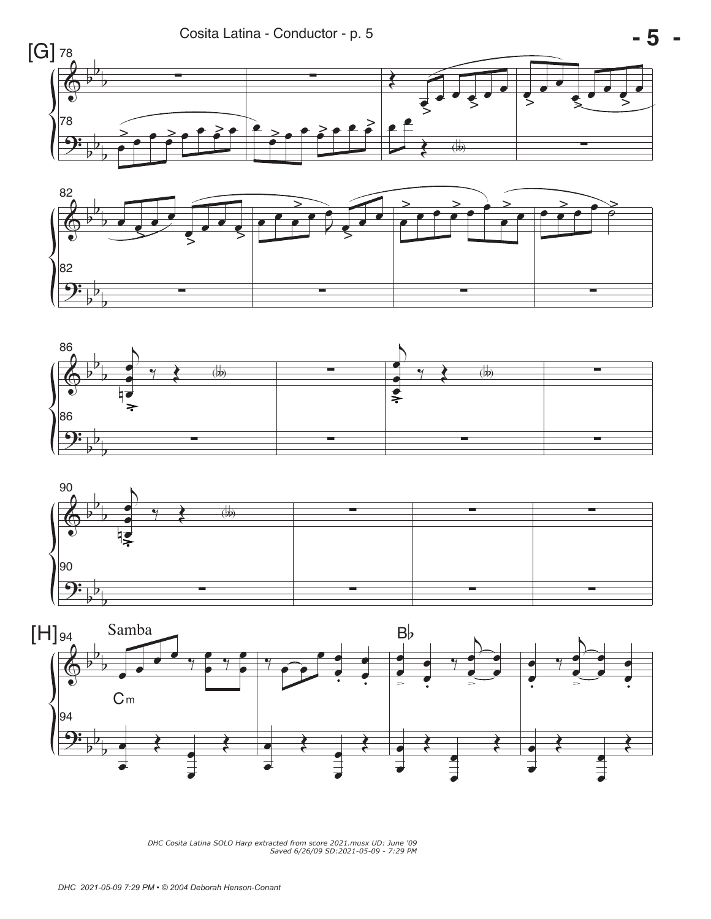







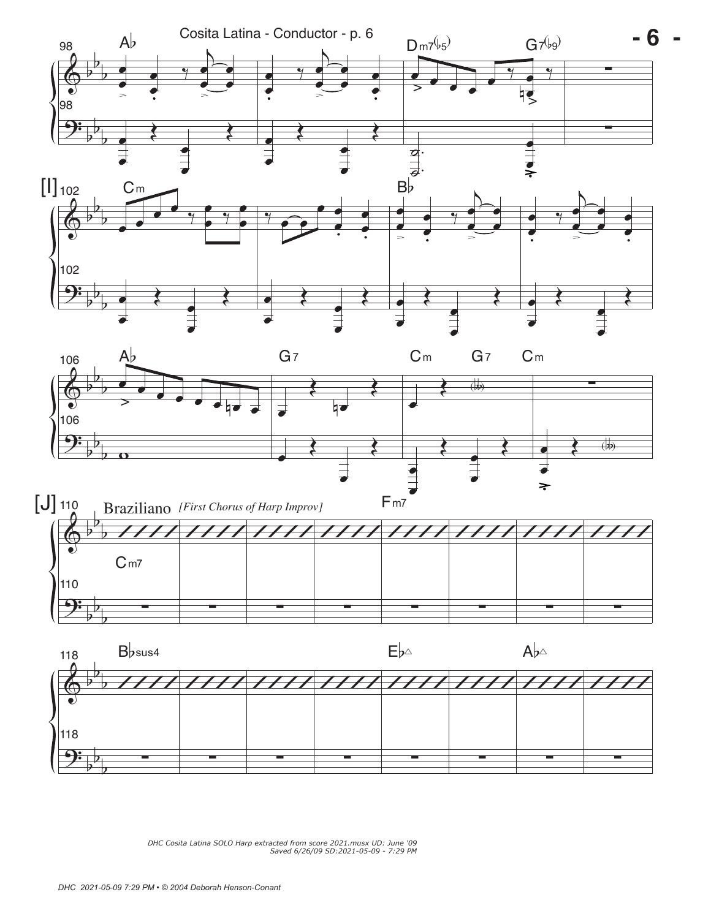







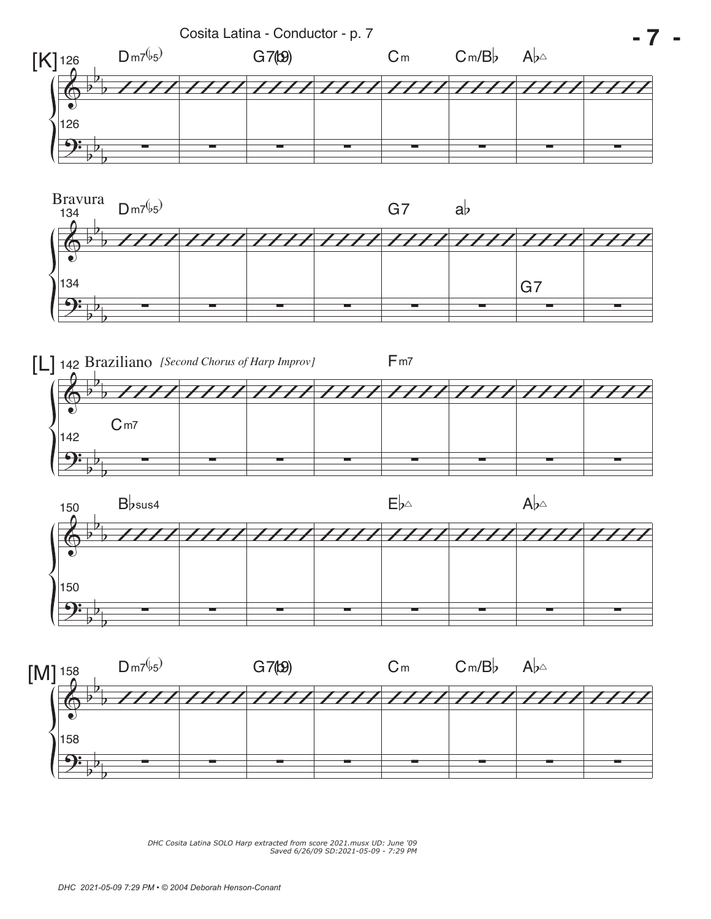







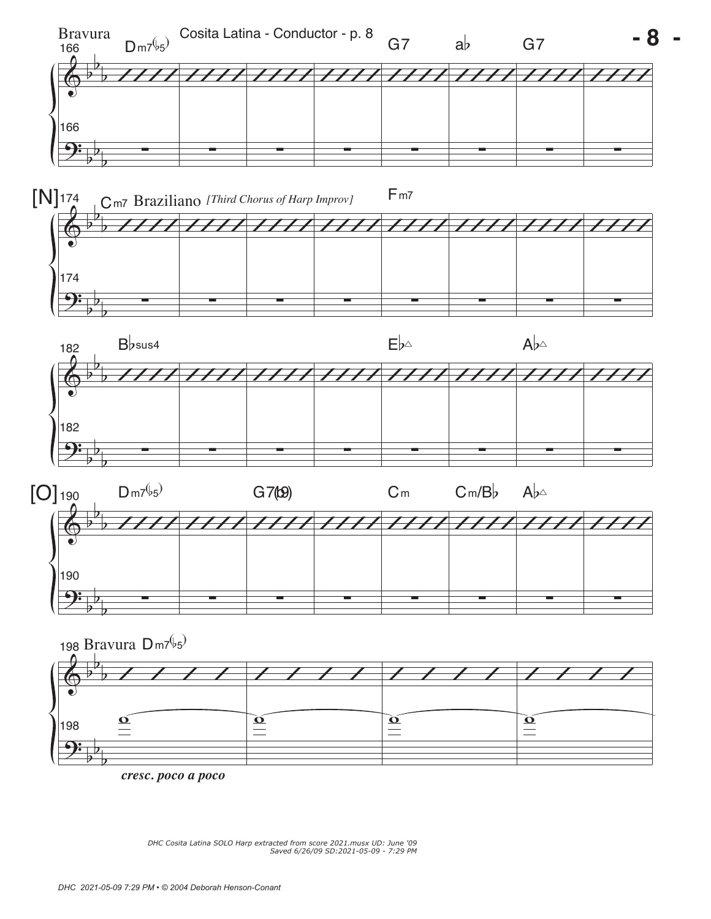

*cresc. poco a poco*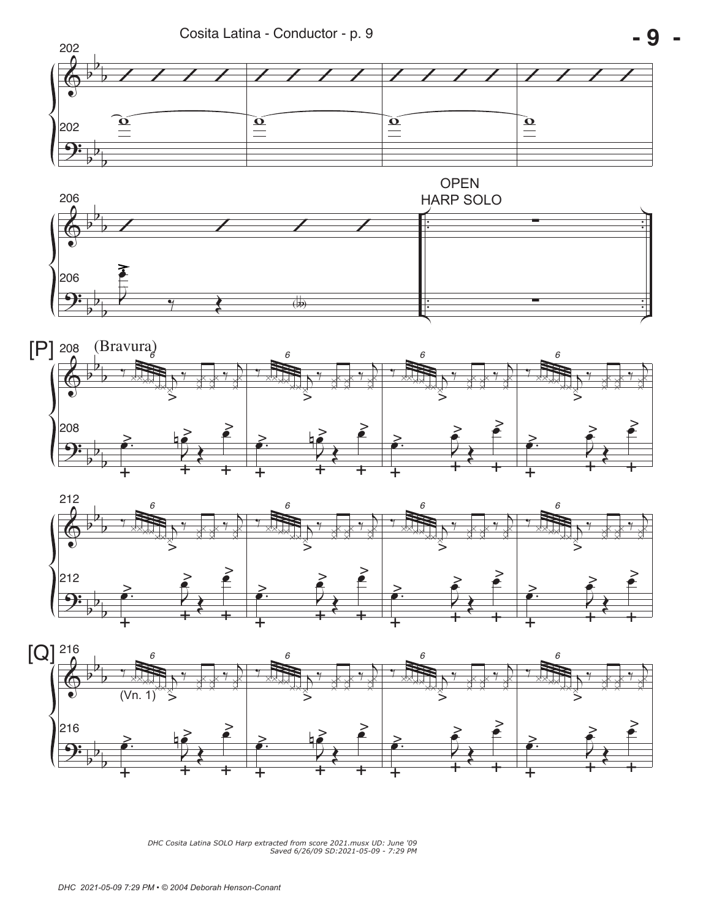









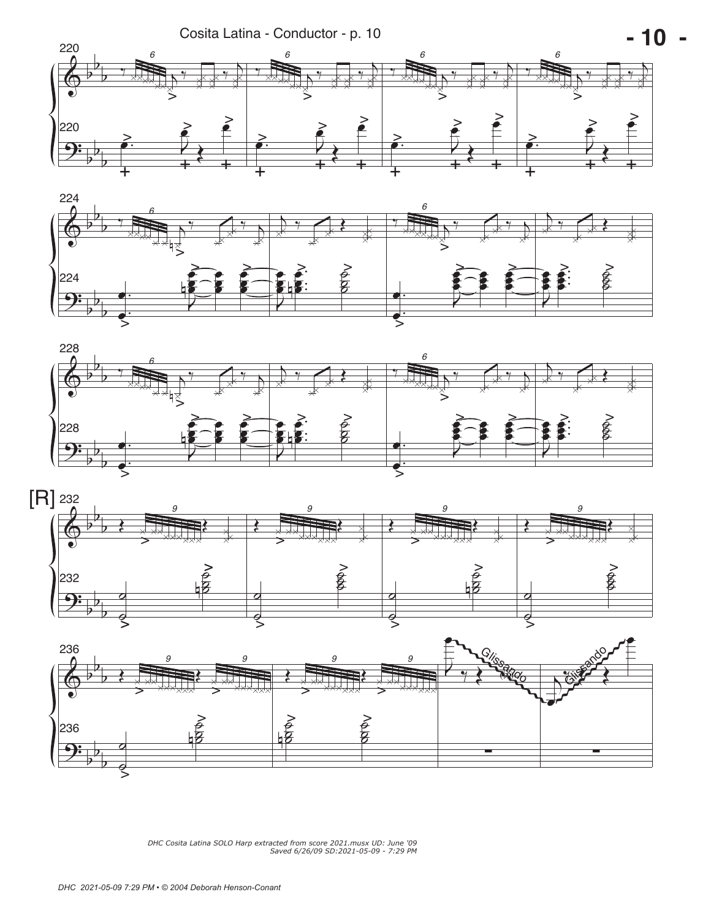







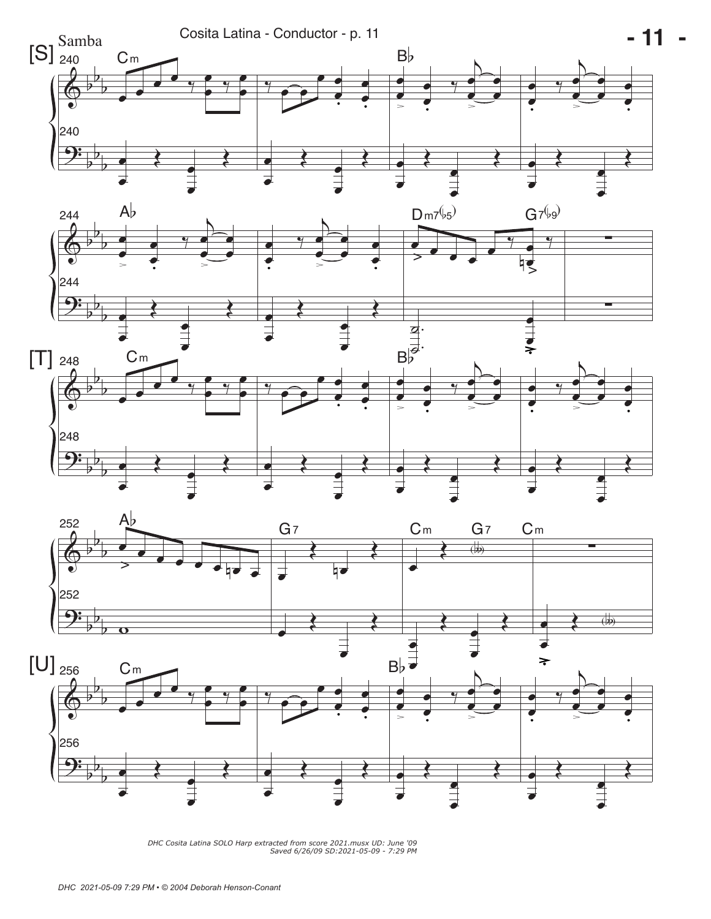